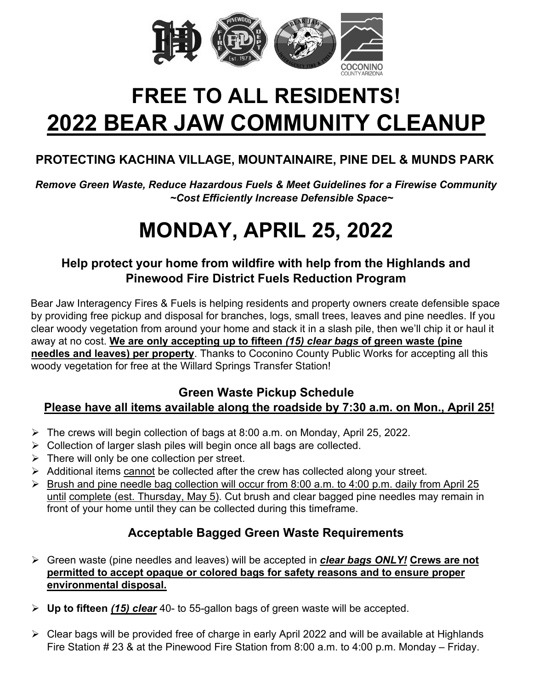

# **FREE TO ALL RESIDENTS! 2022 BEAR JAW COMMUNITY CLEANUP**

# **PROTECTING KACHINA VILLAGE, MOUNTAINAIRE, PINE DEL & MUNDS PARK**

*Remove Green Waste, Reduce Hazardous Fuels & Meet Guidelines for a Firewise Community ~Cost Efficiently Increase Defensible Space~*

# **MONDAY, APRIL 25, 2022**

#### **Help protect your home from wildfire with help from the Highlands and Pinewood Fire District Fuels Reduction Program**

Bear Jaw Interagency Fires & Fuels is helping residents and property owners create defensible space by providing free pickup and disposal for branches, logs, small trees, leaves and pine needles. If you clear woody vegetation from around your home and stack it in a slash pile, then we'll chip it or haul it away at no cost. **We are only accepting up to fifteen** *(15) clear bags* **of green waste (pine needles and leaves) per property**. Thanks to Coconino County Public Works for accepting all this woody vegetation for free at the Willard Springs Transfer Station!

#### **Green Waste Pickup Schedule**

#### **Please have all items available along the roadside by 7:30 a.m. on Mon., April 25!**

- $\triangleright$  The crews will begin collection of bags at 8:00 a.m. on Monday, April 25, 2022.
- Collection of larger slash piles will begin once all bags are collected.
- $\triangleright$  There will only be one collection per street.
- $\triangleright$  Additional items cannot be collected after the crew has collected along your street.
- $\triangleright$  Brush and pine needle bag collection will occur from 8:00 a.m. to 4:00 p.m. daily from April 25 until complete (est. Thursday, May 5). Cut brush and clear bagged pine needles may remain in front of your home until they can be collected during this timeframe.

### **Acceptable Bagged Green Waste Requirements**

- Green waste (pine needles and leaves) will be accepted in *clear bags ONLY!* **Crews are not permitted to accept opaque or colored bags for safety reasons and to ensure proper environmental disposal.**
- **Up to fifteen** *(15) clear* 40- to 55-gallon bags of green waste will be accepted.
- $\triangleright$  Clear bags will be provided free of charge in early April 2022 and will be available at Highlands Fire Station # 23 & at the Pinewood Fire Station from 8:00 a.m. to 4:00 p.m. Monday – Friday.